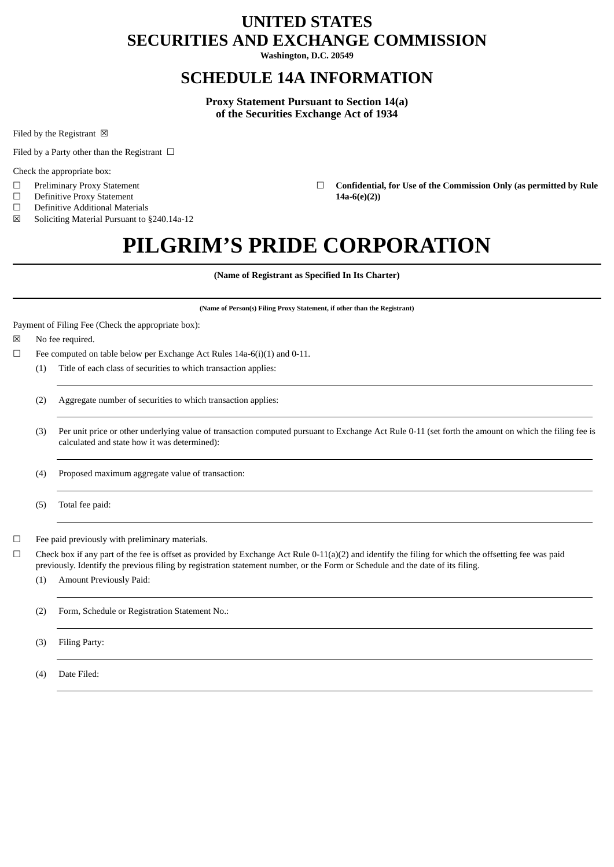# **UNITED STATES SECURITIES AND EXCHANGE COMMISSION**

**Washington, D.C. 20549**

# **SCHEDULE 14A INFORMATION**

**Proxy Statement Pursuant to Section 14(a) of the Securities Exchange Act of 1934**

Filed by the Registrant  $\boxtimes$ 

Filed by a Party other than the Registrant  $\Box$ 

Check the appropriate box:

- 
- ☐ Definitive Proxy Statement **14a-6(e)(2))**
- ☐ Definitive Additional Materials

☒ Soliciting Material Pursuant to §240.14a-12

☐ Preliminary Proxy Statement ☐ **Confidential, for Use of the Commission Only (as permitted by Rule**

# **PILGRIM'S PRIDE CORPORATION**

**(Name of Registrant as Specified In Its Charter)**

**(Name of Person(s) Filing Proxy Statement, if other than the Registrant)**

Payment of Filing Fee (Check the appropriate box):

☒ No fee required.

- ☐ Fee computed on table below per Exchange Act Rules 14a-6(i)(1) and 0-11.
	- (1) Title of each class of securities to which transaction applies:
	- (2) Aggregate number of securities to which transaction applies:
	- (3) Per unit price or other underlying value of transaction computed pursuant to Exchange Act Rule 0-11 (set forth the amount on which the filing fee is calculated and state how it was determined):
	- (4) Proposed maximum aggregate value of transaction:
	- (5) Total fee paid:

☐ Fee paid previously with preliminary materials.

 $\Box$  Check box if any part of the fee is offset as provided by Exchange Act Rule 0-11(a)(2) and identify the filing for which the offsetting fee was paid previously. Identify the previous filing by registration statement number, or the Form or Schedule and the date of its filing.

- (1) Amount Previously Paid:
- (2) Form, Schedule or Registration Statement No.:
- (3) Filing Party:

(4) Date Filed: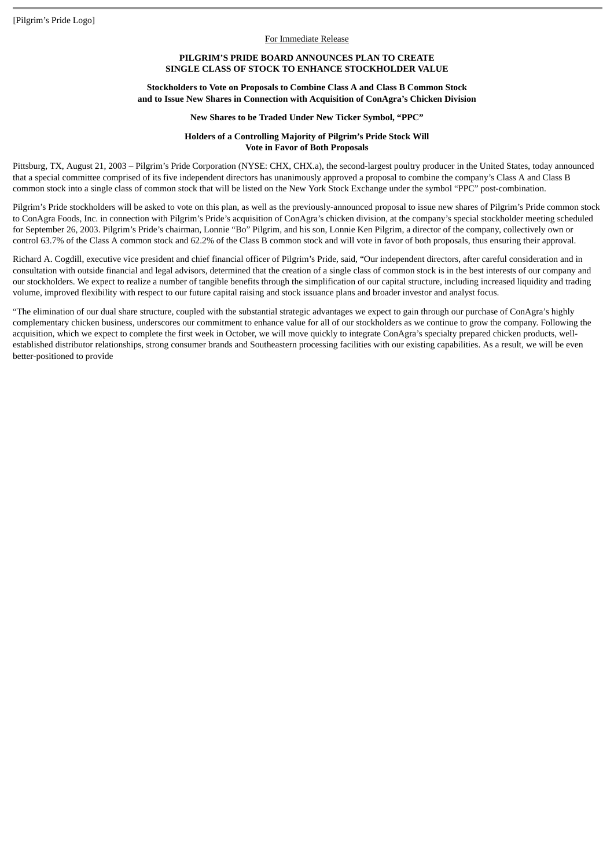## For Immediate Release

# **PILGRIM'S PRIDE BOARD ANNOUNCES PLAN TO CREATE SINGLE CLASS OF STOCK TO ENHANCE STOCKHOLDER VALUE**

# **Stockholders to Vote on Proposals to Combine Class A and Class B Common Stock and to Issue New Shares in Connection with Acquisition of ConAgra's Chicken Division**

#### **New Shares to be Traded Under New Ticker Symbol, "PPC"**

# **Holders of a Controlling Majority of Pilgrim's Pride Stock Will Vote in Favor of Both Proposals**

Pittsburg, TX, August 21, 2003 – Pilgrim's Pride Corporation (NYSE: CHX, CHX.a), the second-largest poultry producer in the United States, today announced that a special committee comprised of its five independent directors has unanimously approved a proposal to combine the company's Class A and Class B common stock into a single class of common stock that will be listed on the New York Stock Exchange under the symbol "PPC" post-combination.

Pilgrim's Pride stockholders will be asked to vote on this plan, as well as the previously-announced proposal to issue new shares of Pilgrim's Pride common stock to ConAgra Foods, Inc. in connection with Pilgrim's Pride's acquisition of ConAgra's chicken division, at the company's special stockholder meeting scheduled for September 26, 2003. Pilgrim's Pride's chairman, Lonnie "Bo" Pilgrim, and his son, Lonnie Ken Pilgrim, a director of the company, collectively own or control 63.7% of the Class A common stock and 62.2% of the Class B common stock and will vote in favor of both proposals, thus ensuring their approval.

Richard A. Cogdill, executive vice president and chief financial officer of Pilgrim's Pride, said, "Our independent directors, after careful consideration and in consultation with outside financial and legal advisors, determined that the creation of a single class of common stock is in the best interests of our company and our stockholders. We expect to realize a number of tangible benefits through the simplification of our capital structure, including increased liquidity and trading volume, improved flexibility with respect to our future capital raising and stock issuance plans and broader investor and analyst focus.

"The elimination of our dual share structure, coupled with the substantial strategic advantages we expect to gain through our purchase of ConAgra's highly complementary chicken business, underscores our commitment to enhance value for all of our stockholders as we continue to grow the company. Following the acquisition, which we expect to complete the first week in October, we will move quickly to integrate ConAgra's specialty prepared chicken products, wellestablished distributor relationships, strong consumer brands and Southeastern processing facilities with our existing capabilities. As a result, we will be even better-positioned to provide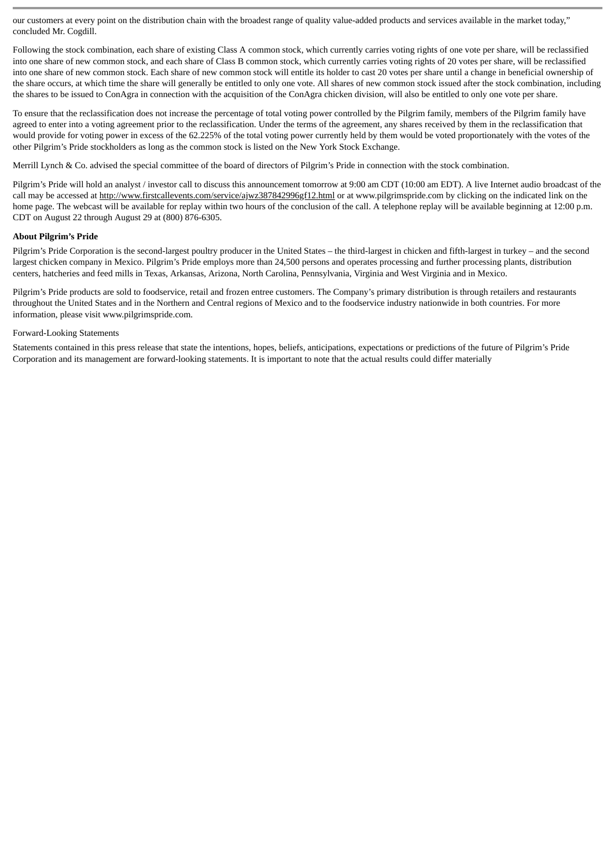our customers at every point on the distribution chain with the broadest range of quality value-added products and services available in the market today," concluded Mr. Cogdill.

Following the stock combination, each share of existing Class A common stock, which currently carries voting rights of one vote per share, will be reclassified into one share of new common stock, and each share of Class B common stock, which currently carries voting rights of 20 votes per share, will be reclassified into one share of new common stock. Each share of new common stock will entitle its holder to cast 20 votes per share until a change in beneficial ownership of the share occurs, at which time the share will generally be entitled to only one vote. All shares of new common stock issued after the stock combination, including the shares to be issued to ConAgra in connection with the acquisition of the ConAgra chicken division, will also be entitled to only one vote per share.

To ensure that the reclassification does not increase the percentage of total voting power controlled by the Pilgrim family, members of the Pilgrim family have agreed to enter into a voting agreement prior to the reclassification. Under the terms of the agreement, any shares received by them in the reclassification that would provide for voting power in excess of the 62.225% of the total voting power currently held by them would be voted proportionately with the votes of the other Pilgrim's Pride stockholders as long as the common stock is listed on the New York Stock Exchange.

Merrill Lynch & Co. advised the special committee of the board of directors of Pilgrim's Pride in connection with the stock combination.

Pilgrim's Pride will hold an analyst / investor call to discuss this announcement tomorrow at 9:00 am CDT (10:00 am EDT). A live Internet audio broadcast of the call may be accessed at http://www.firstcallevents.com/service/ajwz387842996gf12.html or at www.pilgrimspride.com by clicking on the indicated link on the home page. The webcast will be available for replay within two hours of the conclusion of the call. A telephone replay will be available beginning at 12:00 p.m. CDT on August 22 through August 29 at (800) 876-6305.

# **About Pilgrim's Pride**

Pilgrim's Pride Corporation is the second-largest poultry producer in the United States – the third-largest in chicken and fifth-largest in turkey – and the second largest chicken company in Mexico. Pilgrim's Pride employs more than 24,500 persons and operates processing and further processing plants, distribution centers, hatcheries and feed mills in Texas, Arkansas, Arizona, North Carolina, Pennsylvania, Virginia and West Virginia and in Mexico.

Pilgrim's Pride products are sold to foodservice, retail and frozen entree customers. The Company's primary distribution is through retailers and restaurants throughout the United States and in the Northern and Central regions of Mexico and to the foodservice industry nationwide in both countries. For more information, please visit www.pilgrimspride.com.

# Forward-Looking Statements

Statements contained in this press release that state the intentions, hopes, beliefs, anticipations, expectations or predictions of the future of Pilgrim's Pride Corporation and its management are forward-looking statements. It is important to note that the actual results could differ materially